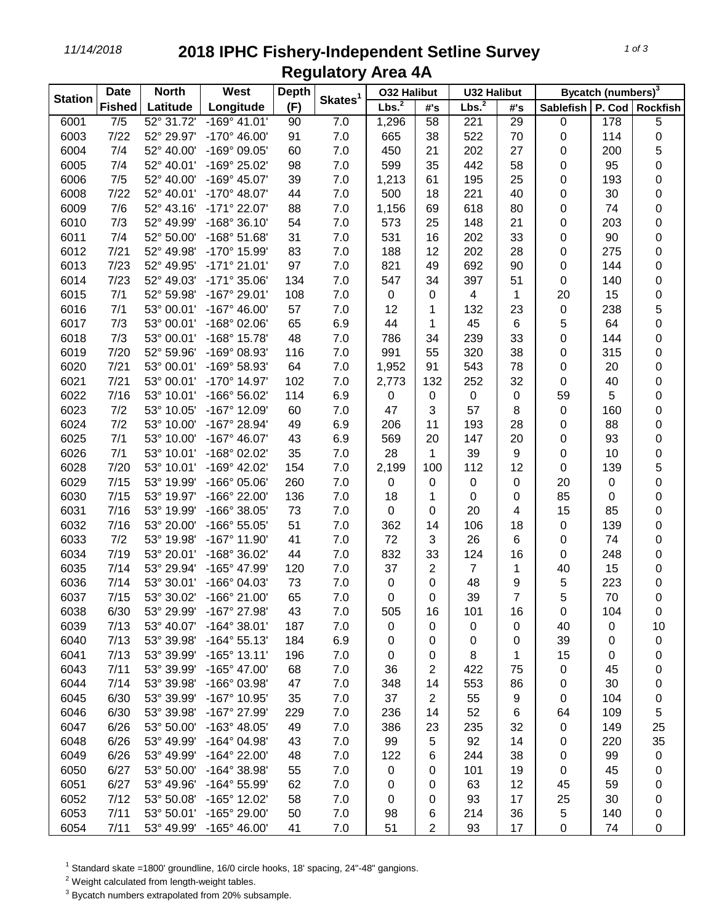## *11/14/2018* **2018 IPHC Fishery-Independent Setline Survey Regulatory Area 4A**

| <b>Station</b> | <b>Date</b>      | <b>North</b> | West                  | <b>Depth</b> |                     | <b>032 Halibut</b> |                | <b>U32 Halibut</b> |           | Bycatch (numbers) <sup>3</sup> |     |                   |
|----------------|------------------|--------------|-----------------------|--------------|---------------------|--------------------|----------------|--------------------|-----------|--------------------------------|-----|-------------------|
|                | <b>Fished</b>    | Latitude     | Longitude             | (F)          | Skates <sup>1</sup> | Lbs. <sup>2</sup>  | #'s            | Lbs. <sup>2</sup>  | #'s       | <b>Sablefish</b>               |     | P. Cod   Rockfish |
| 6001           | $\overline{7/5}$ | 52° 31.72'   | $-169°$ 41.01'        | 90           | 7.0                 | 1,296              | 58             | 221                | 29        | 0                              | 178 | 5                 |
| 6003           | 7/22             | 52° 29.97'   | $-170^{\circ}$ 46.00  | 91           | 7.0                 | 665                | 38             | 522                | 70        | 0                              | 114 | $\pmb{0}$         |
| 6004           | 7/4              | 52° 40.00'   | -169° 09.05'          | 60           | 7.0                 | 450                | 21             | 202                | 27        | 0                              | 200 | 5                 |
| 6005           | 7/4              | 52° 40.01'   | -169° 25.02'          | 98           | 7.0                 | 599                | 35             | 442                | 58        | 0                              | 95  | 0                 |
| 6006           | 7/5              | 52° 40.00'   | -169° 45.07'          | 39           | 7.0                 | 1,213              | 61             | 195                | 25        | 0                              | 193 | $\pmb{0}$         |
| 6008           | 7/22             | 52° 40.01'   | $-170^{\circ}$ 48.07' | 44           | 7.0                 | 500                | 18             | 221                | 40        | 0                              | 30  | $\pmb{0}$         |
| 6009           | 7/6              | 52° 43.16'   | -171° 22.07'          | 88           | $7.0$               | 1,156              | 69             | 618                | 80        | 0                              | 74  | $\pmb{0}$         |
| 6010           | 7/3              | 52° 49.99'   | $-168°36.10'$         | 54           | 7.0                 | 573                | 25             | 148                | 21        | 0                              | 203 | $\pmb{0}$         |
| 6011           | 7/4              | 52° 50.00'   | $-168°51.68'$         | 31           | $7.0$               | 531                | 16             | 202                | 33        | 0                              | 90  | $\pmb{0}$         |
| 6012           | 7/21             | 52° 49.98'   | -170° 15.99'          | 83           | 7.0                 | 188                | 12             | 202                | 28        | 0                              | 275 | 0                 |
| 6013           | 7/23             | 52° 49.95'   | $-171°$ 21.01'        | 97           | 7.0                 | 821                | 49             | 692                | 90        | 0                              | 144 | $\boldsymbol{0}$  |
| 6014           | 7/23             | 52° 49.03'   | $-171°35.06'$         | 134          | 7.0                 | 547                | 34             | 397                | 51        | 0                              | 140 | $\boldsymbol{0}$  |
| 6015           | 7/1              | 52° 59.98'   | -167° 29.01'          | 108          | 7.0                 | 0                  | 0              | 4                  | 1         | 20                             | 15  | $\pmb{0}$         |
| 6016           | 7/1              | 53° 00.01'   | $-167^{\circ}$ 46.00  | 57           | 7.0                 | 12                 |                | 132                | 23        | 0                              | 238 | $\mathbf 5$       |
| 6017           | 7/3              | 53° 00.01'   | -168° 02.06'          | 65           | 6.9                 | 44                 | 1              | 45                 | 6         | 5                              | 64  | 0                 |
| 6018           | 7/3              | 53° 00.01'   | -168° 15.78'          | 48           | 7.0                 | 786                | 34             | 239                | 33        | 0                              | 144 | $\pmb{0}$         |
| 6019           | 7/20             | 52° 59.96'   | -169° 08.93'          | 116          | 7.0                 | 991                | 55             | 320                | 38        | 0                              | 315 | $\pmb{0}$         |
| 6020           | 7/21             | 53° 00.01'   | -169° 58.93'          | 64           | 7.0                 | 1,952              | 91             | 543                | 78        | 0                              | 20  | 0                 |
| 6021           | 7/21             | 53° 00.01'   | -170° 14.97'          | 102          | 7.0                 | 2,773              | 132            | 252                | 32        | 0                              | 40  | 0                 |
| 6022           | 7/16             | 53° 10.01'   | -166° 56.02'          | 114          | 6.9                 | 0                  | 0              | 0                  | 0         | 59                             | 5   | 0                 |
| 6023           | 7/2              | 53° 10.05'   | -167° 12.09'          | 60           | 7.0                 | 47                 | 3              | 57                 | 8         | $\pmb{0}$                      | 160 | 0                 |
| 6024           | 7/2              | 53° 10.00'   | -167° 28.94'          | 49           | 6.9                 | 206                | 11             | 193                | 28        | 0                              | 88  | 0                 |
| 6025           | 7/1              | 53° 10.00'   | $-167^{\circ}$ 46.07' | 43           | 6.9                 | 569                | 20             | 147                | 20        | 0                              | 93  | $\pmb{0}$         |
| 6026           | 7/1              | 53° 10.01'   | -168° 02.02'          | 35           | $7.0$               | 28                 | 1              | 39                 | 9         | 0                              | 10  | $\pmb{0}$         |
| 6028           | 7/20             | 53° 10.01'   | -169° 42.02'          | 154          | 7.0                 | 2,199              | 100            | 112                | 12        | 0                              | 139 | 5                 |
| 6029           | 7/15             | 53° 19.99'   | -166° 05.06'          | 260          | 7.0                 | 0                  | 0              | 0                  | $\pmb{0}$ | 20                             | 0   | 0                 |
| 6030           | 7/15             | 53° 19.97'   | -166° 22.00'          | 136          | 7.0                 | 18                 | 1              | 0                  | 0         | 85                             | 0   | 0                 |
| 6031           | 7/16             | 53° 19.99'   | -166° 38.05'          | 73           | 7.0                 | 0                  | 0              | 20                 | 4         | 15                             | 85  | 0                 |
| 6032           | 7/16             | 53° 20.00'   | -166° 55.05'          | 51           | 7.0                 | 362                | 14             | 106                | 18        | 0                              | 139 | $\boldsymbol{0}$  |
| 6033           | 7/2              | 53° 19.98'   | -167° 11.90'          | 41           | 7.0                 | 72                 | 3              | 26                 | 6         | 0                              | 74  | $\pmb{0}$         |
| 6034           | 7/19             | 53° 20.01'   | -168° 36.02'          | 44           | 7.0                 | 832                | 33             | 124                | 16        | 0                              | 248 | $\pmb{0}$         |
| 6035           | 7/14             | 53° 29.94'   | -165° 47.99'          | 120          | 7.0                 | 37                 | 2              | $\overline{7}$     | 1         | 40                             | 15  | $\pmb{0}$         |
| 6036           | 7/14             | 53° 30.01'   | -166° 04.03'          | 73           | 7.0                 | 0                  | 0              | 48                 | 9         | 5                              | 223 | $\pmb{0}$         |
| 6037           | 7/15             | 53° 30.02'   | $-166^{\circ}$ 21.00  | 65           | 7.0                 | 0                  | 0              | 39                 | 7         | 5                              | 70  | $\pmb{0}$         |
| 6038           | 6/30             | 53° 29.99'   | -167° 27.98'          | 43           | 7.0                 | 505                | 16             | 101                | 16        | 0                              | 104 | 0                 |
| 6039           | 7/13             | 53° 40.07'   | $-164^{\circ}$ 38.01' | 187          | 7.0                 | 0                  | 0              | 0                  | 0         | 40                             | 0   | 10                |
| 6040           | 7/13             | 53° 39.98'   | $-164^{\circ} 55.13'$ | 184          | 6.9                 | 0                  | 0              | 0                  | 0         | 39                             | 0   | $\pmb{0}$         |
| 6041           | 7/13             | 53° 39.99'   | $-165°$ 13.11'        | 196          | 7.0                 | 0                  | 0              | 8                  | 1         | 15                             | 0   | 0                 |
| 6043           | 7/11             | 53° 39.99'   | -165° 47.00'          | 68           | 7.0                 | 36                 | 2              | 422                | 75        | 0                              | 45  | 0                 |
| 6044           | 7/14             | 53° 39.98'   | -166° 03.98'          | 47           | 7.0                 | 348                | 14             | 553                | 86        | 0                              | 30  | 0                 |
| 6045           | 6/30             | 53° 39.99'   | -167° 10.95'          | 35           | 7.0                 | 37                 | $\overline{2}$ | 55                 | 9         | 0                              | 104 | 0                 |
| 6046           | 6/30             | 53° 39.98'   | -167° 27.99'          | 229          | $7.0$               | 236                | 14             | 52                 | 6         | 64                             | 109 | 5                 |
| 6047           | 6/26             | 53° 50.00'   | -163° 48.05'          | 49           | 7.0                 | 386                | 23             | 235                | 32        | 0                              | 149 | 25                |
| 6048           | 6/26             | 53° 49.99'   | -164° 04.98'          | 43           | 7.0                 | 99                 | 5              | 92                 | 14        | 0                              | 220 | 35                |
| 6049           | 6/26             | 53° 49.99'   | -164° 22.00'          | 48           | 7.0                 | 122                | 6              | 244                | 38        | 0                              | 99  | $\pmb{0}$         |
| 6050           | 6/27             | 53° 50.00'   | -164° 38.98'          | 55           | 7.0                 | 0                  | 0              | 101                | 19        | 0                              | 45  | 0                 |
| 6051           | 6/27             | 53° 49.96'   | -164° 55.99'          | 62           | 7.0                 | 0                  | 0              | 63                 | 12        | 45                             | 59  | 0                 |
| 6052           | 7/12             | 53° 50.08'   | -165° 12.02'          | 58           | 7.0                 | 0                  | 0              | 93                 | 17        | 25                             | 30  | 0                 |
| 6053           | 7/11             | 53° 50.01'   | -165° 29.00'          | 50           | 7.0                 | 98                 | 6              | 214                | 36        | 5                              | 140 | 0                 |
| 6054           | 7/11             | 53° 49.99'   | $-165^{\circ}$ 46.00' | 41           | 7.0                 | 51                 | 2              | 93                 | 17        | 0                              | 74  | $\boldsymbol{0}$  |

Standard skate =1800' groundline, 16/0 circle hooks, 18' spacing, 24"-48" gangions.

Weight calculated from length-weight tables.

Bycatch numbers extrapolated from 20% subsample.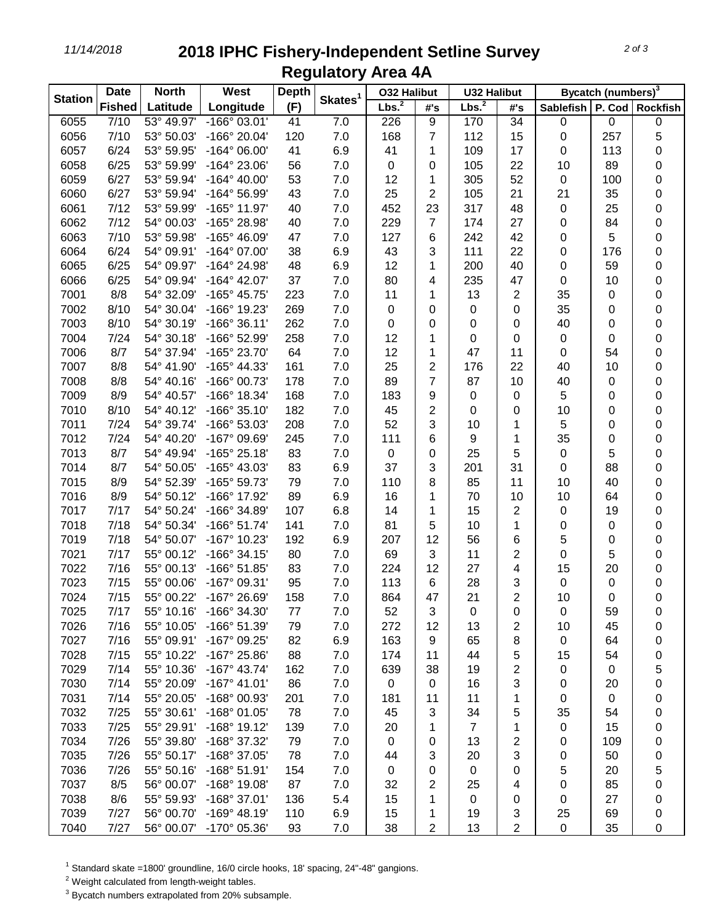*11/14/2018* **2018 IPHC Fishery-Independent Setline Survey Regulatory Area 4A**

| <b>Station</b> | <b>Date</b>   | <b>North</b> | West                  | <b>Depth</b> | Skates <sup>1</sup> | <b>032 Halibut</b> |                | <b>U32 Halibut</b> |                         | Bycatch (numbers) <sup>3</sup> |           |           |
|----------------|---------------|--------------|-----------------------|--------------|---------------------|--------------------|----------------|--------------------|-------------------------|--------------------------------|-----------|-----------|
|                | <b>Fished</b> | Latitude     | Longitude             | (F)          |                     | Lbs. <sup>2</sup>  | #s             | Lbs. <sup>2</sup>  | #'s                     | Sablefish   P. Cod   Rockfish  |           |           |
| 6055           | 7/10          | 53° 49.97'   | $-166°03.01'$         | 41           | 7.0                 | 226                | 9              | 170                | 34                      | $\pmb{0}$                      | 0         | $\pmb{0}$ |
| 6056           | 7/10          | 53° 50.03'   | -166° 20.04'          | 120          | 7.0                 | 168                | $\overline{7}$ | 112                | 15                      | 0                              | 257       | 5         |
| 6057           | 6/24          | 53° 59.95'   | $-164^{\circ}$ 06.00' | 41           | 6.9                 | 41                 | 1              | 109                | 17                      | 0                              | 113       | 0         |
| 6058           | 6/25          | 53° 59.99'   | $-164^{\circ} 23.06'$ | 56           | 7.0                 | $\pmb{0}$          | 0              | 105                | 22                      | 10                             | 89        | 0         |
| 6059           | 6/27          | 53° 59.94'   | $-164^{\circ}$ 40.00' | 53           | 7.0                 | 12                 | 1              | 305                | 52                      | 0                              | 100       | 0         |
| 6060           | 6/27          | 53° 59.94'   | $-164^{\circ} 56.99'$ | 43           | $7.0$               | 25                 | $\overline{2}$ | 105                | 21                      | 21                             | 35        | $\pmb{0}$ |
| 6061           | 7/12          | 53° 59.99'   | $-165^{\circ}$ 11.97' | 40           | $7.0$               | 452                | 23             | 317                | 48                      | 0                              | 25        | 0         |
| 6062           | 7/12          | 54° 00.03'   | -165° 28.98'          | 40           | 7.0                 | 229                | 7              | 174                | 27                      | 0                              | 84        | $\pmb{0}$ |
| 6063           | 7/10          | 53° 59.98'   | -165° 46.09'          | 47           | 7.0                 | 127                | 6              | 242                | 42                      | 0                              | 5         | 0         |
| 6064           | 6/24          | 54° 09.91'   | $-164^{\circ}$ 07.00' | 38           | 6.9                 | 43                 | 3              | 111                | 22                      | 0                              | 176       | 0         |
| 6065           | 6/25          | 54° 09.97'   | -164° 24.98'          | 48           | 6.9                 | 12                 | 1              | 200                | 40                      | 0                              | 59        | 0         |
| 6066           | 6/25          | 54° 09.94'   | $-164^{\circ}$ 42.07' | 37           | 7.0                 | 80                 | 4              | 235                | 47                      | 0                              | 10        | 0         |
| 7001           | 8/8           | 54° 32.09'   | -165° 45.75'          | 223          | 7.0                 | 11                 | 1              | 13                 | 2                       | 35                             | 0         | 0         |
| 7002           | 8/10          | 54° 30.04'   | -166° 19.23'          | 269          | 7.0                 | $\pmb{0}$          | 0              | 0                  | 0                       | 35                             | 0         | $\pmb{0}$ |
| 7003           | 8/10          | 54° 30.19'   | $-166°36.11'$         | 262          | $7.0$               | $\pmb{0}$          | 0              | 0                  | 0                       | 40                             | 0         | $\pmb{0}$ |
| 7004           | 7/24          | 54° 30.18'   | -166° 52.99'          | 258          | 7.0                 | 12                 | 1              | 0                  | 0                       | 0                              | 0         | $\pmb{0}$ |
| 7006           | 8/7           | 54° 37.94'   | -165° 23.70'          | 64           | 7.0                 | 12                 | 1              | 47                 | 11                      | 0                              | 54        | $\pmb{0}$ |
| 7007           | 8/8           | 54° 41.90'   | -165° 44.33'          | 161          | 7.0                 | 25                 | $\overline{c}$ | 176                | 22                      | 40                             | 10        | 0         |
| 7008           | 8/8           | 54° 40.16'   | -166° 00.73'          | 178          | 7.0                 | 89                 | $\overline{7}$ | 87                 | 10                      | 40                             | 0         | 0         |
| 7009           | 8/9           | 54° 40.57'   | -166° 18.34'          | 168          | 7.0                 | 183                | 9              | 0                  | 0                       | 5                              | 0         | 0         |
| 7010           | 8/10          | 54° 40.12'   | $-166°35.10'$         | 182          | 7.0                 | 45                 | 2              | 0                  | 0                       | 10                             | 0         | 0         |
| 7011           | 7/24          | 54° 39.74'   | -166° 53.03'          | 208          | 7.0                 | 52                 | 3              | 10                 | 1                       | 5                              | 0         | 0         |
| 7012           | 7/24          | 54° 40.20'   | -167° 09.69'          | 245          | $7.0$               | 111                | 6              | 9                  | 1                       | 35                             | 0         | 0         |
| 7013           | 8/7           | 54° 49.94'   | $-165^{\circ} 25.18'$ | 83           | 7.0                 | $\pmb{0}$          | 0              | 25                 | 5                       | 0                              | 5         | $\pmb{0}$ |
| 7014           | 8/7           | 54° 50.05'   | -165° 43.03'          | 83           | 6.9                 | 37                 | 3              | 201                | 31                      | 0                              | 88        | $\pmb{0}$ |
| 7015           | 8/9           | 54° 52.39'   | -165° 59.73'          | 79           | 7.0                 | 110                | 8              | 85                 | 11                      | 10                             | 40        | 0         |
| 7016           | 8/9           | 54° 50.12'   | -166° 17.92'          | 89           | 6.9                 | 16                 | 1              | 70                 | 10                      | 10                             | 64        | 0         |
| 7017           | 7/17          | 54° 50.24'   | -166° 34.89'          | 107          | 6.8                 | 14                 | 1              | 15                 | $\overline{\mathbf{c}}$ | 0                              | 19        | 0         |
| 7018           | 7/18          | 54° 50.34'   | $-166°51.74'$         | 141          | 7.0                 | 81                 | 5              | 10                 | 1                       | 0                              | $\pmb{0}$ | 0         |
| 7019           | 7/18          | 54° 50.07'   | -167° 10.23'          | 192          | 6.9                 | 207                | 12             | 56                 | 6                       | 5                              | 0         | 0         |
| 7021           | 7/17          | 55° 00.12'   | $-166°34.15'$         | 80           | $7.0$               | 69                 | 3              | 11                 | $\overline{2}$          | 0                              | 5         | $\pmb{0}$ |
| 7022           | 7/16          | 55° 00.13'   | $-166°51.85'$         | 83           | $7.0$               | 224                | 12             | 27                 | 4                       | 15                             | 20        | $\pmb{0}$ |
| 7023           | 7/15          | 55° 00.06'   | -167° 09.31'          | 95           | $7.0$               | 113                | $\,6$          | 28                 | 3                       | 0                              | $\pmb{0}$ | 0         |
| 7024           | 7/15          | 55° 00.22'   | -167° 26.69'          | 158          | 7.0                 | 864                | 47             | 21                 | $\overline{2}$          | 10                             | 0         | $\pmb{0}$ |
| 7025           | 7/17          | 55° 10.16'   | -166° 34.30'          | 77           | 7.0                 | 52                 | 3              | 0                  | 0                       | 0                              | 59        | 0         |
| 7026           | 7/16          | 55° 10.05'   | -166° 51.39'          | 79           | 7.0                 | 272                | 12             | 13                 | $\overline{c}$          | 10                             | 45        | 0         |
| 7027           | 7/16          | 55° 09.91'   | -167° 09.25'          | 82           | 6.9                 | 163                | 9              | 65                 | 8                       | 0                              | 64        | 0         |
| 7028           | 7/15          | 55° 10.22'   | $-167^{\circ}$ 25.86' | 88           | 7.0                 | 174                | 11             | 44                 | 5                       | 15                             | 54        | 0         |
| 7029           | 7/14          | 55° 10.36'   | $-167^{\circ}$ 43.74' | 162          | 7.0                 | 639                | 38             | 19                 | 2                       | 0                              | 0         | 5         |
| 7030           | 7/14          | 55° 20.09'   | $-167^{\circ}$ 41.01' | 86           | $7.0$               | 0                  | 0              | 16                 | 3                       | 0                              | 20        | 0         |
| 7031           | 7/14          | 55° 20.05'   | -168° 00.93'          | 201          | 7.0                 | 181                | 11             | 11                 | 1                       | 0                              | 0         | 0         |
| 7032           | 7/25          | 55° 30.61'   | -168° 01.05'          | 78           | 7.0                 | 45                 | 3              | 34                 | 5                       | 35                             | 54        | 0         |
| 7033           | 7/25          | 55° 29.91'   | $-168°$ 19.12'        | 139          | 7.0                 | 20                 | 1              | $\overline{7}$     | 1                       | 0                              | 15        | 0         |
| 7034           | 7/26          | 55° 39.80'   | -168° 37.32'          | 79           | 7.0                 | 0                  | 0              | 13                 | 2                       | 0                              | 109       | 0         |
| 7035           | 7/26          | 55° 50.17'   | -168° 37.05'          | 78           | 7.0                 | 44                 | 3              | 20                 | 3                       | 0                              | 50        | 0         |
| 7036           | 7/26          | 55° 50.16'   | $-168°51.91'$         | 154          | 7.0                 | $\pmb{0}$          | 0              | $\pmb{0}$          | 0                       | 5                              | 20        | 5         |
| 7037           | 8/5           | 56° 00.07'   | -168° 19.08'          | 87           | 7.0                 | 32                 | 2              | 25                 | 4                       | 0                              | 85        | 0         |
| 7038           | 8/6           | 55° 59.93'   | $-168°37.01'$         | 136          | 5.4                 | 15                 | 1              | $\mathbf 0$        | 0                       | 0                              | 27        | 0         |
| 7039           | 7/27          | 56° 00.70'   | $-169°$ 48.19'        | 110          | 6.9                 | 15                 | 1              | 19                 | 3                       | 25                             | 69        | 0         |
| 7040           | 7/27          | 56° 00.07'   | -170° 05.36'          | 93           | 7.0                 | 38                 | 2              | 13                 | $\overline{2}$          | $\mathbf 0$                    | 35        | 0         |

Standard skate =1800' groundline, 16/0 circle hooks, 18' spacing, 24"-48" gangions.

Weight calculated from length-weight tables.

Bycatch numbers extrapolated from 20% subsample.